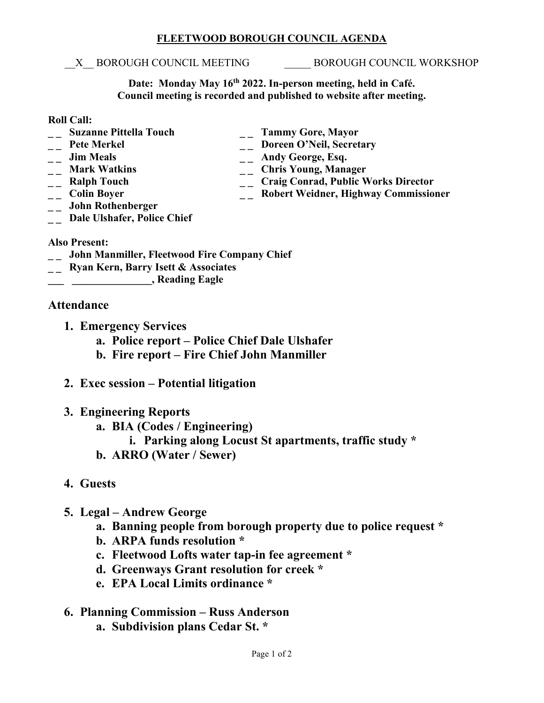#### **FLEETWOOD BOROUGH COUNCIL AGENDA**

#### X BOROUGH COUNCIL MEETING BOROUGH COUNCIL WORKSHOP

**Date: Monday May 16th 2022. In-person meeting, held in Café. Council meeting is recorded and published to website after meeting.**

#### **Roll Call:**

- **\_ \_ Suzanne Pittella Touch \_ \_ Tammy Gore, Mayor**
- 
- 
- 
- 
- 
- **\_ \_ John Rothenberger**
- <sup>--</sup> Pete Merkel <sup>--</sup> Doreen O'Neil, Secretary<br>
<sup>--</sup> Doreen O'Neil, Secretary<br>
<sup>--</sup> Andy George, Esq.
- **\_ \_ Jim Meals \_ \_ Andy George, Esq.** 
	-
- <sup>1</sup> \_\_ Mark Watkins \_\_ \_\_ Chris Young, Manager<br>
\_\_ Ralph Touch \_\_ \_\_ Craig Conrad, Public V <sup>--</sup> **Craig Conrad, Public Works Director**<br>
-- **Colin Boyer**<br>
-- **Robert Weidner, Highway Commissio** 
	- **\_\_ Robert Weidner, Highway Commissioner**
- **\_ \_ Dale Ulshafer, Police Chief**

### **Also Present:**

- **\_ \_ John Manmiller, Fleetwood Fire Company Chief**
- **\_ \_ Ryan Kern, Barry Isett & Associates**
- **\_\_\_ \_\_\_\_\_\_\_\_\_\_\_\_\_\_\_, Reading Eagle**

## **Attendance**

- **1. Emergency Services**
	- **a. Police report – Police Chief Dale Ulshafer**
	- **b. Fire report – Fire Chief John Manmiller**
- **2. Exec session – Potential litigation**
- **3. Engineering Reports**
	- **a. BIA (Codes / Engineering)**
		- **i. Parking along Locust St apartments, traffic study \***
	- **b. ARRO (Water / Sewer)**
- **4. Guests**
- **5. Legal – Andrew George** 
	- **a. Banning people from borough property due to police request \***
	- **b. ARPA funds resolution \***
	- **c. Fleetwood Lofts water tap-in fee agreement \***
	- **d. Greenways Grant resolution for creek \***
	- **e. EPA Local Limits ordinance \***
- **6. Planning Commission – Russ Anderson**
	- **a. Subdivision plans Cedar St. \***